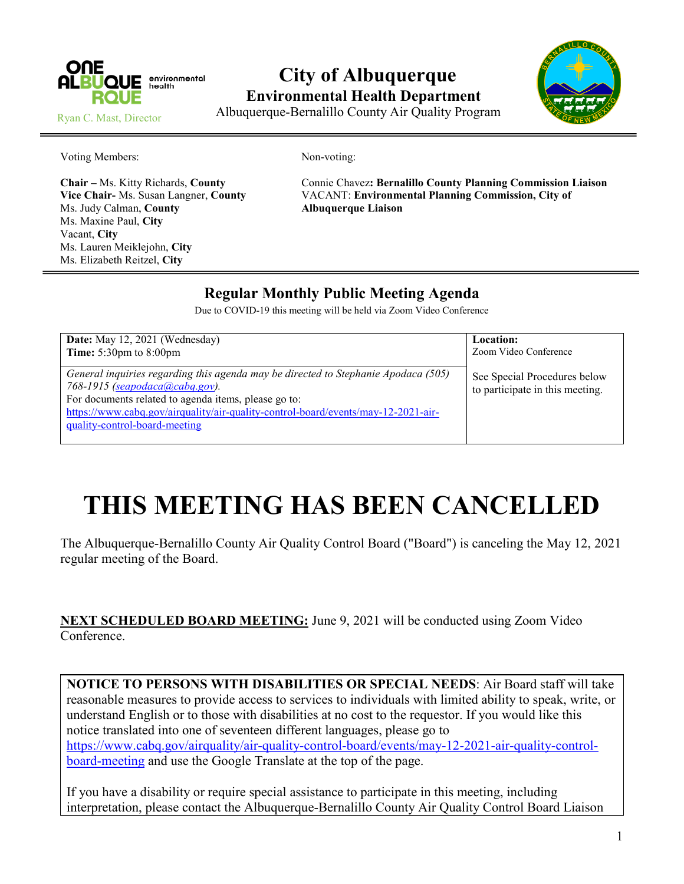

## **City of Albuquerque Environmental Health Department** Albuquerque-Bernalillo County Air Quality Program



Ryan C. Mast, Director

Voting Members: Non-voting:

Ms. Judy Calman, **County Albuquerque Liaison** Ms. Maxine Paul, **City** Vacant, **City** Ms. Lauren Meiklejohn, **City** Ms. Elizabeth Reitzel, **City**

**Chair –** Ms. Kitty Richards, **County** Connie Chavez**: Bernalillo County Planning Commission Liaison Vice Chair-** Ms. Susan Langner, **County** VACANT: **Environmental Planning Commission, City of**

## **Regular Monthly Public Meeting Agenda**

Due to COVID-19 this meeting will be held via Zoom Video Conference

| Date: May 12, 2021 (Wednesday)                                                                                                                                                                                                                                                                           | Location:                                                       |
|----------------------------------------------------------------------------------------------------------------------------------------------------------------------------------------------------------------------------------------------------------------------------------------------------------|-----------------------------------------------------------------|
| <b>Time:</b> $5:30 \text{pm}$ to $8:00 \text{pm}$                                                                                                                                                                                                                                                        | Zoom Video Conference                                           |
| General inquiries regarding this agenda may be directed to Stephanie Apodaca (505)<br>$768 - 1915$ (seapodaca(a)cabq.gov).<br>For documents related to agenda items, please go to:<br>https://www.cabq.gov/airquality/air-quality-control-board/events/may-12-2021-air-<br>quality-control-board-meeting | See Special Procedures below<br>to participate in this meeting. |

## **THIS MEETING HAS BEEN CANCELLED**

The Albuquerque-Bernalillo County Air Quality Control Board ("Board") is canceling the May 12, 2021 regular meeting of the Board.

**NEXT SCHEDULED BOARD MEETING:** June 9, 2021 will be conducted using Zoom Video Conference.

**NOTICE TO PERSONS WITH DISABILITIES OR SPECIAL NEEDS**: Air Board staff will take reasonable measures to provide access to services to individuals with limited ability to speak, write, or understand English or to those with disabilities at no cost to the requestor. If you would like this notice translated into one of seventeen different languages, please go to [https://www.cabq.gov/airquality/air-quality-control-board/events/may-12-2021-air-quality-control](https://www.cabq.gov/airquality/air-quality-control-board/events/may-12-2021-air-quality-control-board-meeting)[board-meeting](https://www.cabq.gov/airquality/air-quality-control-board/events/may-12-2021-air-quality-control-board-meeting) and use the Google Translate at the top of the page.

If you have a disability or require special assistance to participate in this meeting, including interpretation, please contact the Albuquerque-Bernalillo County Air Quality Control Board Liaison